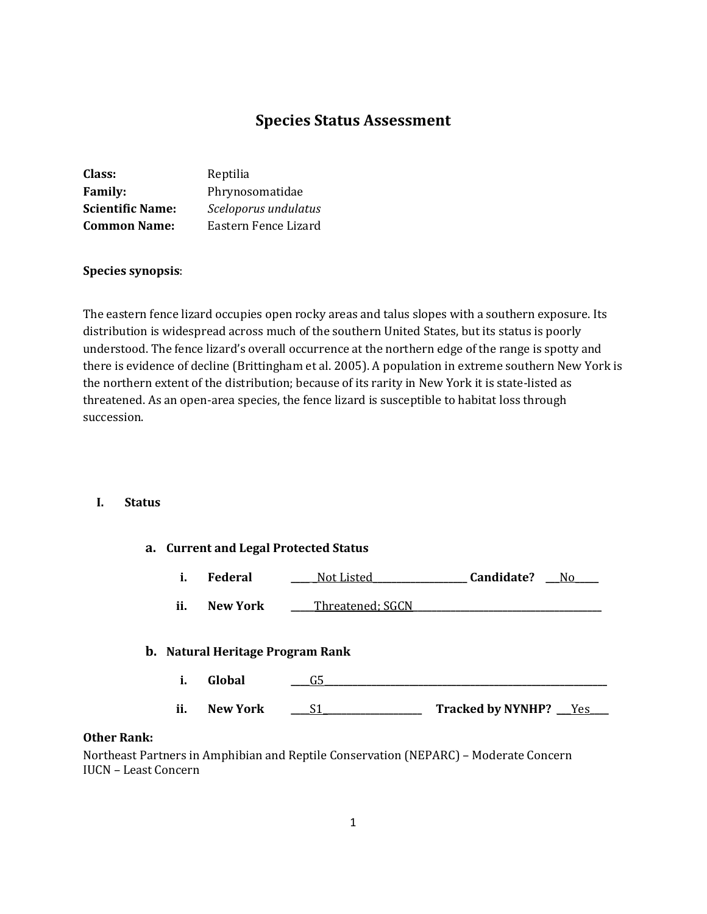# **Species Status Assessment**

| Reptilia             |
|----------------------|
| Phrynosomatidae      |
| Sceloporus undulatus |
| Eastern Fence Lizard |
|                      |

#### **Species synopsis**:

The eastern fence lizard occupies open rocky areas and talus slopes with a southern exposure. Its distribution is widespread across much of the southern United States, but its status is poorly understood. The fence lizard's overall occurrence at the northern edge of the range is spotty and there is evidence of decline (Brittingham et al. 2005). A population in extreme southern New York is the northern extent of the distribution; because of its rarity in New York it is state-listed as threatened. As an open-area species, the fence lizard is susceptible to habitat loss through succession.

#### **I. Status**

|      | a. Current and Legal Protected Status |                 |                  |                          |  |  |
|------|---------------------------------------|-----------------|------------------|--------------------------|--|--|
|      | i.                                    | Federal         | Not Listed       | <b>Candidate?</b> No     |  |  |
|      | ii.                                   | <b>New York</b> | Threatened: SGCN |                          |  |  |
|      | b. Natural Heritage Program Rank      |                 |                  |                          |  |  |
|      | i.                                    | Global          | G5               |                          |  |  |
|      | ii.                                   | <b>New York</b> | S1               | Tracked by NYNHP? __ Yes |  |  |
| ւոև․ |                                       |                 |                  |                          |  |  |

### **Other Rank:**

Northeast Partners in Amphibian and Reptile Conservation (NEPARC) – Moderate Concern IUCN – Least Concern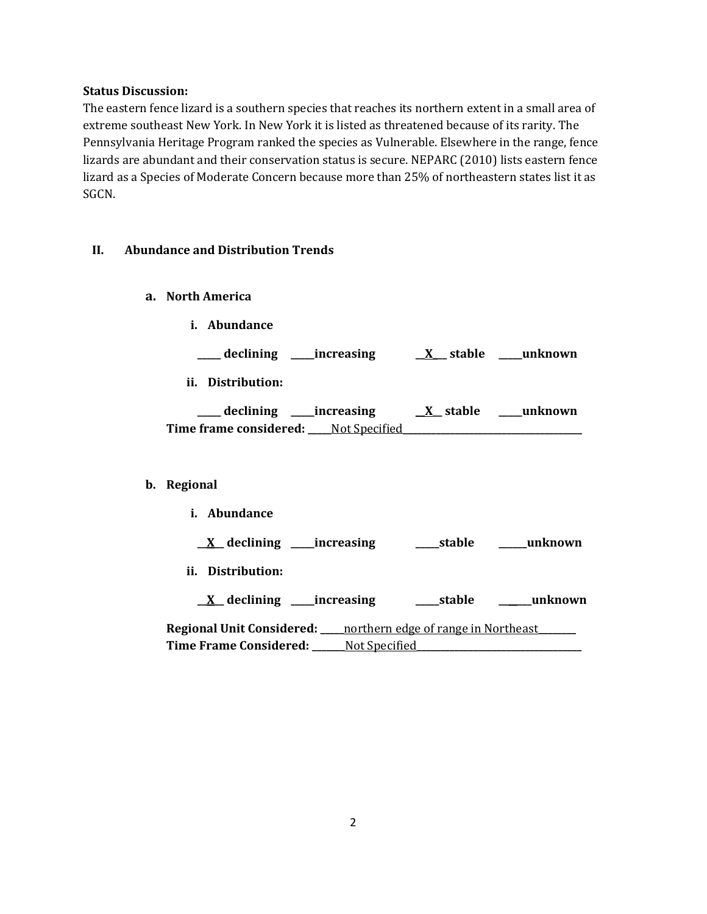#### **Status Discussion:**

The eastern fence lizard is a southern species that reaches its northern extent in a small area of extreme southeast New York. In New York it is listed as threatened because of its rarity. The Pennsylvania Heritage Program ranked the species as Vulnerable. Elsewhere in the range, fence lizards are abundant and their conservation status is secure. NEPARC (2010) lists eastern fence lizard as a Species of Moderate Concern because more than 25% of northeastern states list it as SGCN.

#### **II. Abundance and Distribution Trends**

- **a. North America**
	- **i. Abundance**

**\_\_\_\_\_ declining \_\_\_\_\_increasing \_\_X\_\_\_ stable \_\_\_\_\_unknown**

**ii. Distribution:**

| declining              | increasing    | X stable | unknown |
|------------------------|---------------|----------|---------|
| Time frame considered: | Not Specified |          |         |

#### **b. Regional**

| <i>i.</i> Abundance                                                       |               |            |         |
|---------------------------------------------------------------------------|---------------|------------|---------|
| $\underline{X}$ declining _____increasing                                 |               | ____stable | unknown |
| ii.<br>Distribution:                                                      |               |            |         |
| $X$ declining ______ increasing                                           |               | __stable   | unknown |
| <b>Regional Unit Considered:</b> ____ northern edge of range in Northeast |               |            |         |
| Time Frame Considered:                                                    | Not Specified |            |         |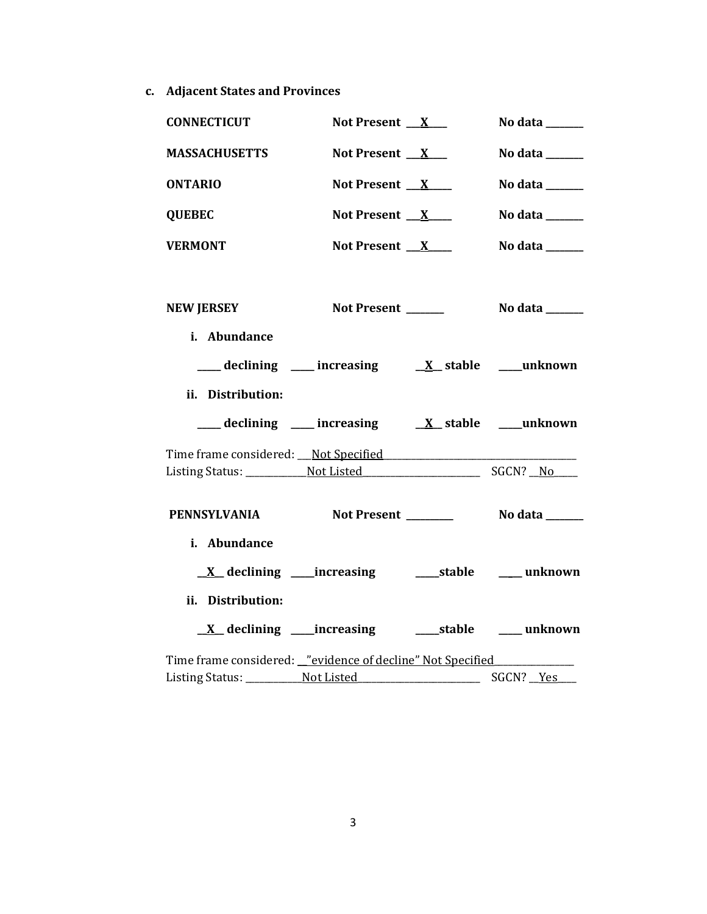**c. Adjacent States and Provinces**

| <b>CONNECTICUT</b>                                            | Not Present $X_{-}$                                                                                                                     | No data ______                                                              |
|---------------------------------------------------------------|-----------------------------------------------------------------------------------------------------------------------------------------|-----------------------------------------------------------------------------|
| <b>MASSACHUSETTS</b>                                          | Not Present $X$                                                                                                                         | No data $\_\_\_\_\_\_\_\_\_\_\_\_\$                                         |
| <b>ONTARIO</b>                                                | Not Present $X$                                                                                                                         | No data ______                                                              |
| <b>QUEBEC</b>                                                 | Not Present $X$                                                                                                                         | No data $\frac{1}{\sqrt{1-\frac{1}{2}}\cdot\frac{1}{\sqrt{1-\frac{1}{2}}}}$ |
| <b>VERMONT</b>                                                | Not Present $X$                                                                                                                         | No data ______                                                              |
|                                                               |                                                                                                                                         |                                                                             |
| <b>NEW JERSEY</b>                                             | Not Present                                                                                                                             | No data ______                                                              |
| i. Abundance                                                  |                                                                                                                                         |                                                                             |
|                                                               | $\frac{1}{\sqrt{1-x^2}}$ declining $\frac{1}{\sqrt{1-x^2}}$ increasing $\frac{1}{\sqrt{1-x^2}}$ stable $\frac{1}{\sqrt{1-x^2}}$ unknown |                                                                             |
| ii. Distribution:                                             |                                                                                                                                         |                                                                             |
|                                                               | $\frac{1}{\sqrt{1-x^2}}$ declining $\frac{1}{\sqrt{1-x^2}}$ increasing $\frac{1}{\sqrt{1-x^2}}$ stable $\frac{1}{\sqrt{1-x^2}}$ unknown |                                                                             |
| Time frame considered: Not Specified                          |                                                                                                                                         |                                                                             |
|                                                               |                                                                                                                                         |                                                                             |
| PENNSYLVANIA Not Present Not also No data Nome Not No Mexicon |                                                                                                                                         |                                                                             |
| i. Abundance                                                  |                                                                                                                                         |                                                                             |
|                                                               | <u>X</u> declining ____increasing ______stable _____ unknown                                                                            |                                                                             |
| ii. Distribution:                                             |                                                                                                                                         |                                                                             |
|                                                               |                                                                                                                                         |                                                                             |
| Time frame considered: _"evidence of decline" Not Specified   |                                                                                                                                         |                                                                             |
|                                                               |                                                                                                                                         |                                                                             |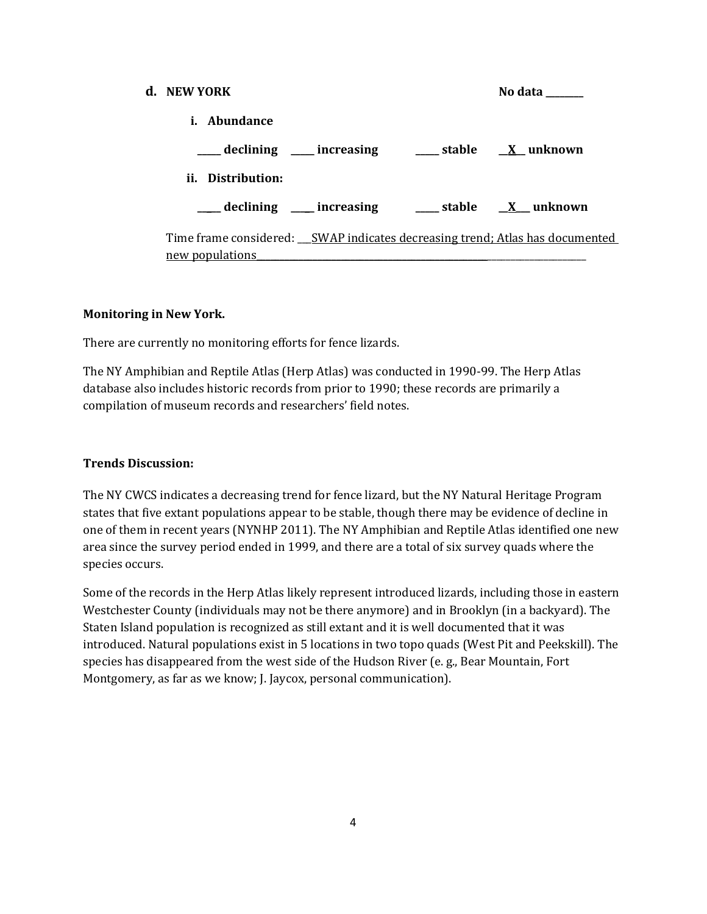| d. NEW YORK                                                                                       | No data |
|---------------------------------------------------------------------------------------------------|---------|
| i. Abundance                                                                                      |         |
| declining ____ increasing _____ stable _____ X__ unknown                                          |         |
| ii. Distribution:                                                                                 |         |
| ___ declining ___ increasing ___ stable __ X__ unknown                                            |         |
| Time frame considered: __SWAP indicates decreasing trend; Atlas has documented<br>new populations |         |

#### **Monitoring in New York.**

There are currently no monitoring efforts for fence lizards.

The NY Amphibian and Reptile Atlas (Herp Atlas) was conducted in 1990-99. The Herp Atlas database also includes historic records from prior to 1990; these records are primarily a compilation of museum records and researchers' field notes.

#### **Trends Discussion:**

The NY CWCS indicates a decreasing trend for fence lizard, but the NY Natural Heritage Program states that five extant populations appear to be stable, though there may be evidence of decline in one of them in recent years (NYNHP 2011). The NY Amphibian and Reptile Atlas identified one new area since the survey period ended in 1999, and there are a total of six survey quads where the species occurs.

Some of the records in the Herp Atlas likely represent introduced lizards, including those in eastern Westchester County (individuals may not be there anymore) and in Brooklyn (in a backyard). The Staten Island population is recognized as still extant and it is well documented that it was introduced. Natural populations exist in 5 locations in two topo quads (West Pit and Peekskill). The species has disappeared from the west side of the Hudson River (e. g., Bear Mountain, Fort Montgomery, as far as we know; J. Jaycox, personal communication).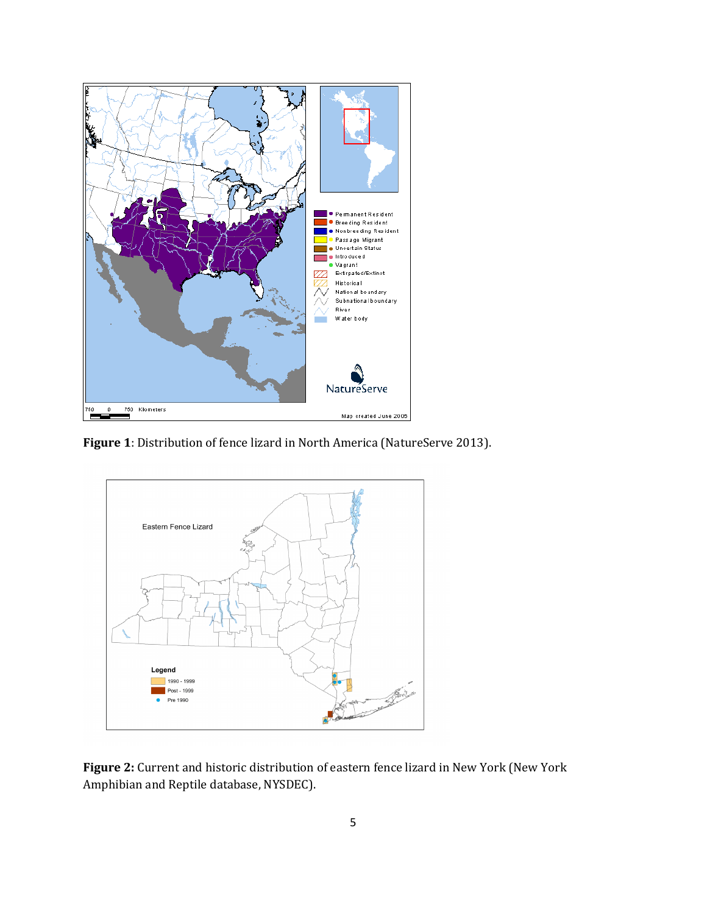

**Figure 1**: Distribution of fence lizard in North America (NatureServe 2013).



**Figure 2:** Current and historic distribution of eastern fence lizard in New York (New York Amphibian and Reptile database, NYSDEC).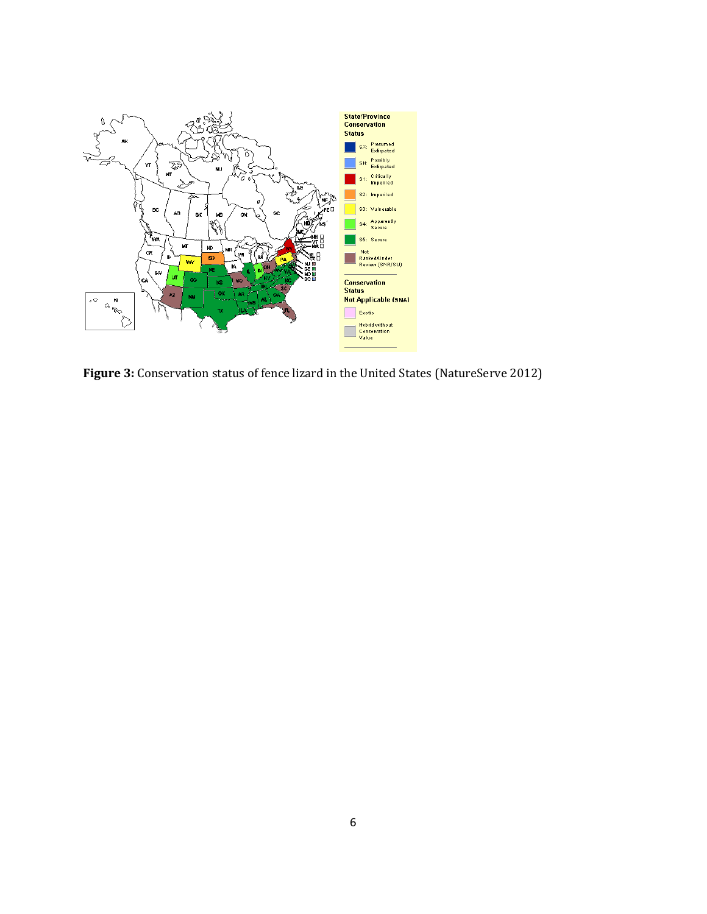

**Figure 3:** Conservation status of fence lizard in the United States (NatureServe 2012)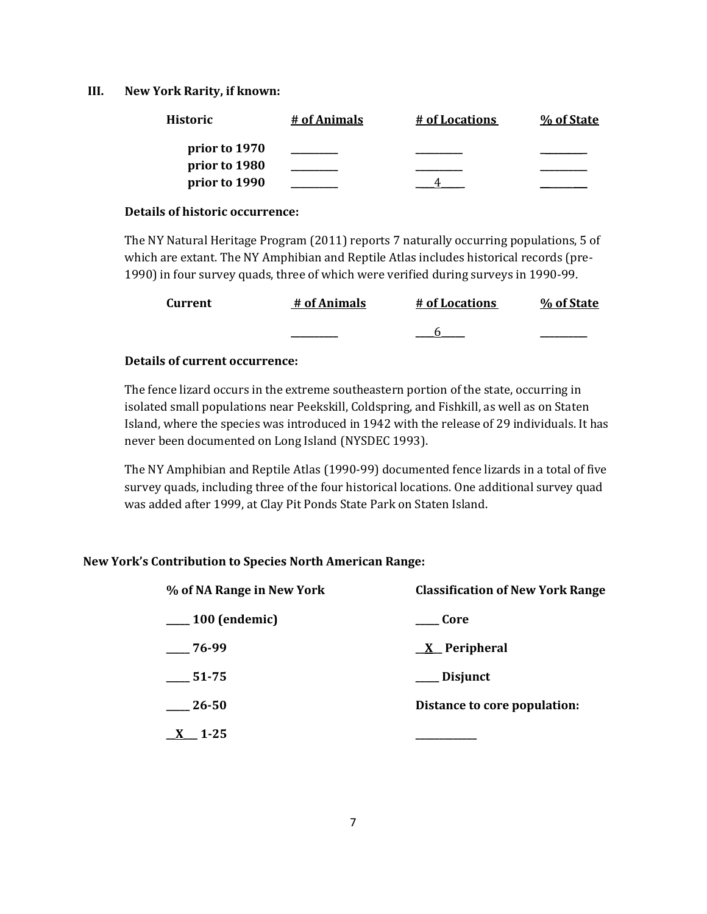#### **III. New York Rarity, if known:**

| <b>Historic</b> | # of Animals | # of Locations | % of State |
|-----------------|--------------|----------------|------------|
| prior to 1970   |              |                |            |
| prior to 1980   |              |                |            |
| prior to 1990   |              |                |            |

#### **Details of historic occurrence:**

The NY Natural Heritage Program (2011) reports 7 naturally occurring populations, 5 of which are extant. The NY Amphibian and Reptile Atlas includes historical records (pre-1990) in four survey quads, three of which were verified during surveys in 1990-99.

| <b>Current</b> | # of Animals | # of Locations | % of State |
|----------------|--------------|----------------|------------|
|                |              |                |            |

#### **Details of current occurrence:**

The fence lizard occurs in the extreme southeastern portion of the state, occurring in isolated small populations near Peekskill, Coldspring, and Fishkill, as well as on Staten Island, where the species was introduced in 1942 with the release of 29 individuals. It has never been documented on Long Island (NYSDEC 1993).

The NY Amphibian and Reptile Atlas (1990-99) documented fence lizards in a total of five survey quads, including three of the four historical locations. One additional survey quad was added after 1999, at Clay Pit Ponds State Park on Staten Island.

#### **New York's Contribution to Species North American Range:**

| % of NA Range in New York | <b>Classification of New York Range</b> |
|---------------------------|-----------------------------------------|
| $\frac{100}{2}$ (endemic) | Core                                    |
| $-76-99$                  | $X$ Peripheral                          |
| $-51-75$                  | ___ Disjunct                            |
| 26-50                     | Distance to core population:            |
| $1 - 25$                  |                                         |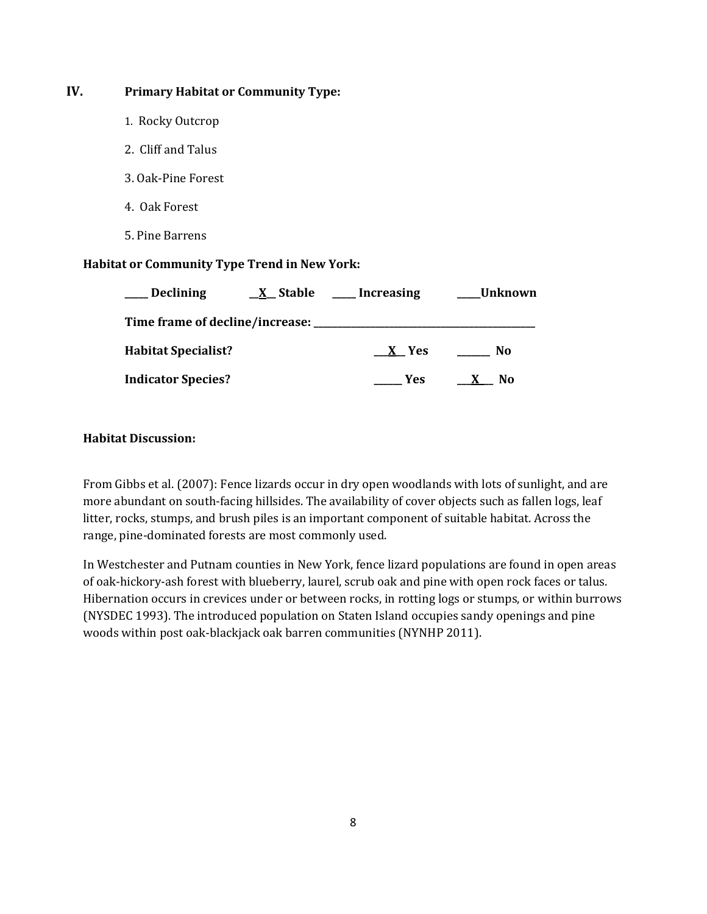# **IV. Primary Habitat or Community Type:**

- 1. Rocky Outcrop
- 2. Cliff and Talus
- 3. Oak-Pine Forest
- 4. Oak Forest
- 5. Pine Barrens

### **Habitat or Community Type Trend in New York:**

| <b>Declining</b>                | $X$ Stable | <b>Increasing</b> | Unknown |
|---------------------------------|------------|-------------------|---------|
| Time frame of decline/increase: |            |                   |         |
| <b>Habitat Specialist?</b>      |            | X Yes             | No.     |
| <b>Indicator Species?</b>       |            | <b>Yes</b>        | No.     |

### **Habitat Discussion:**

From Gibbs et al. (2007): Fence lizards occur in dry open woodlands with lots of sunlight, and are more abundant on south-facing hillsides. The availability of cover objects such as fallen logs, leaf litter, rocks, stumps, and brush piles is an important component of suitable habitat. Across the range, pine-dominated forests are most commonly used.

In Westchester and Putnam counties in New York, fence lizard populations are found in open areas of oak-hickory-ash forest with blueberry, laurel, scrub oak and pine with open rock faces or talus. Hibernation occurs in crevices under or between rocks, in rotting logs or stumps, or within burrows (NYSDEC 1993). The introduced population on Staten Island occupies sandy openings and pine woods within post oak-blackjack oak barren communities (NYNHP 2011).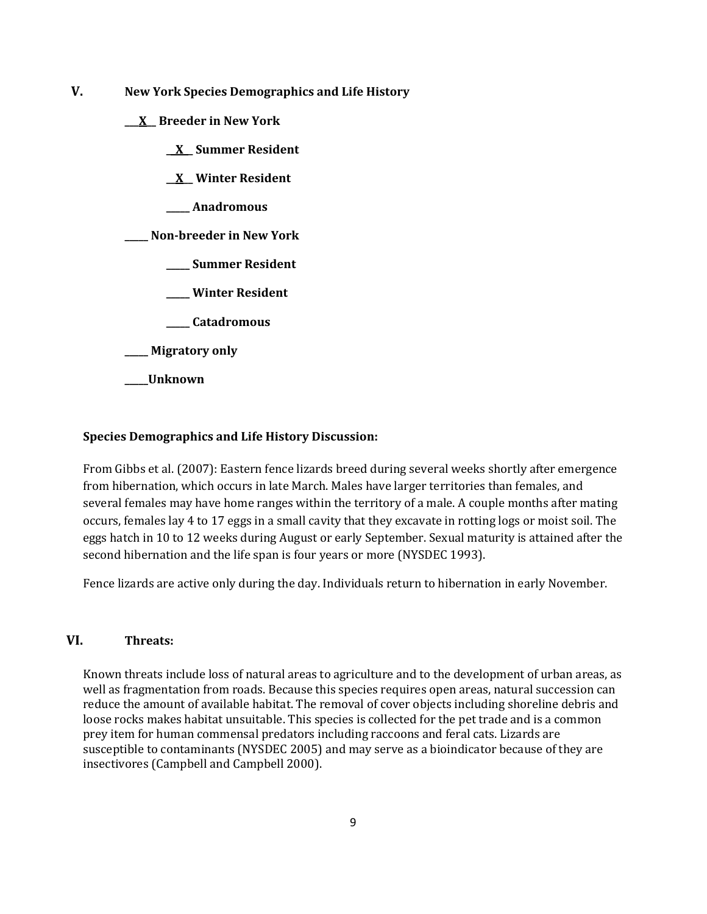- **V. New York Species Demographics and Life History**
	- **\_\_\_X\_\_ Breeder in New York**
		- **\_\_X\_\_ Summer Resident**
		- **\_\_X\_\_ Winter Resident**
		- **\_\_\_\_\_ Anadromous**

**\_\_\_\_\_ Non-breeder in New York**

- **\_\_\_\_\_ Summer Resident**
- **\_\_\_\_\_ Winter Resident**
- **\_\_\_\_\_ Catadromous**
- **\_\_\_\_\_ Migratory only**
- **\_\_\_\_\_Unknown**

#### **Species Demographics and Life History Discussion:**

From Gibbs et al. (2007): Eastern fence lizards breed during several weeks shortly after emergence from hibernation, which occurs in late March. Males have larger territories than females, and several females may have home ranges within the territory of a male. A couple months after mating occurs, females lay 4 to 17 eggs in a small cavity that they excavate in rotting logs or moist soil. The eggs hatch in 10 to 12 weeks during August or early September. Sexual maturity is attained after the second hibernation and the life span is four years or more (NYSDEC 1993).

Fence lizards are active only during the day. Individuals return to hibernation in early November.

#### **VI. Threats:**

Known threats include loss of natural areas to agriculture and to the development of urban areas, as well as fragmentation from roads. Because this species requires open areas, natural succession can reduce the amount of available habitat. The removal of cover objects including shoreline debris and loose rocks makes habitat unsuitable. This species is collected for the pet trade and is a common prey item for human commensal predators including raccoons and feral cats. Lizards are susceptible to contaminants (NYSDEC 2005) and may serve as a bioindicator because of they are insectivores (Campbell and Campbell 2000).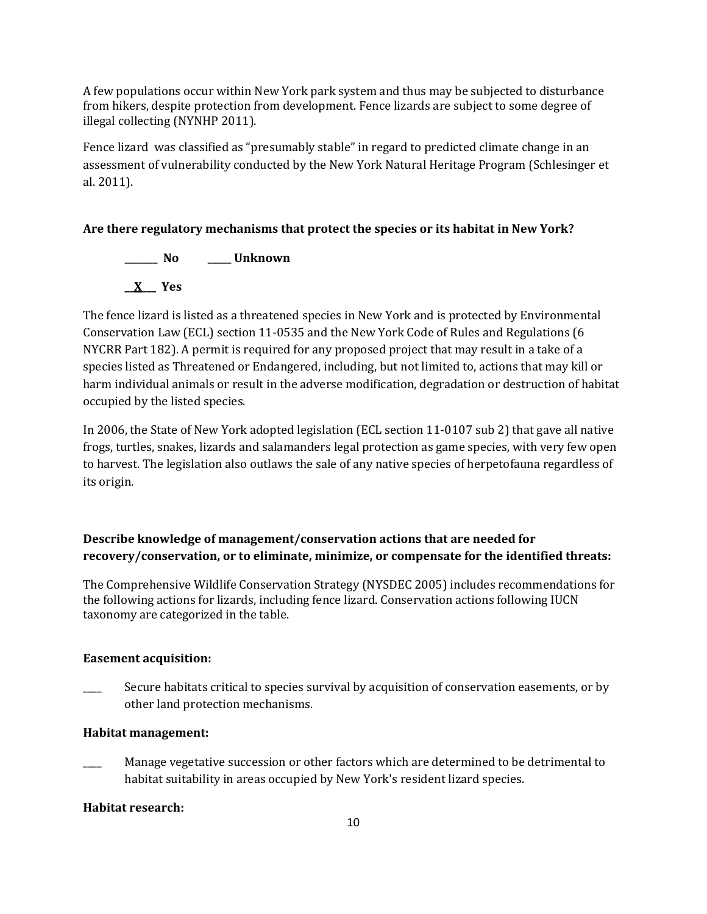A few populations occur within New York park system and thus may be subjected to disturbance from hikers, despite protection from development. Fence lizards are subject to some degree of illegal collecting (NYNHP 2011).

Fence lizard was classified as "presumably stable" in regard to predicted climate change in an assessment of vulnerability conducted by the New York Natural Heritage Program (Schlesinger et al. 2011).

# **Are there regulatory mechanisms that protect the species or its habitat in New York?**

**\_\_\_\_\_\_\_ No \_\_\_\_\_ Unknown \_\_X\_\_\_ Yes** 

The fence lizard is listed as a threatened species in New York and is protected by Environmental Conservation Law (ECL) section 11-0535 and the New York Code of Rules and Regulations (6 NYCRR Part 182). A permit is required for any proposed project that may result in a take of a species listed as Threatened or Endangered, including, but not limited to, actions that may kill or harm individual animals or result in the adverse modification, degradation or destruction of habitat occupied by the listed species.

In 2006, the State of New York adopted legislation (ECL section 11-0107 sub 2) that gave all native frogs, turtles, snakes, lizards and salamanders legal protection as game species, with very few open to harvest. The legislation also outlaws the sale of any native species of herpetofauna regardless of its origin.

# **Describe knowledge of management/conservation actions that are needed for recovery/conservation, or to eliminate, minimize, or compensate for the identified threats:**

The Comprehensive Wildlife Conservation Strategy (NYSDEC 2005) includes recommendations for the following actions for lizards, including fence lizard. Conservation actions following IUCN taxonomy are categorized in the table.

# **Easement acquisition:**

Secure habitats critical to species survival by acquisition of conservation easements, or by other land protection mechanisms.

# **Habitat management:**

Manage vegetative succession or other factors which are determined to be detrimental to habitat suitability in areas occupied by New York's resident lizard species.

# **Habitat research:**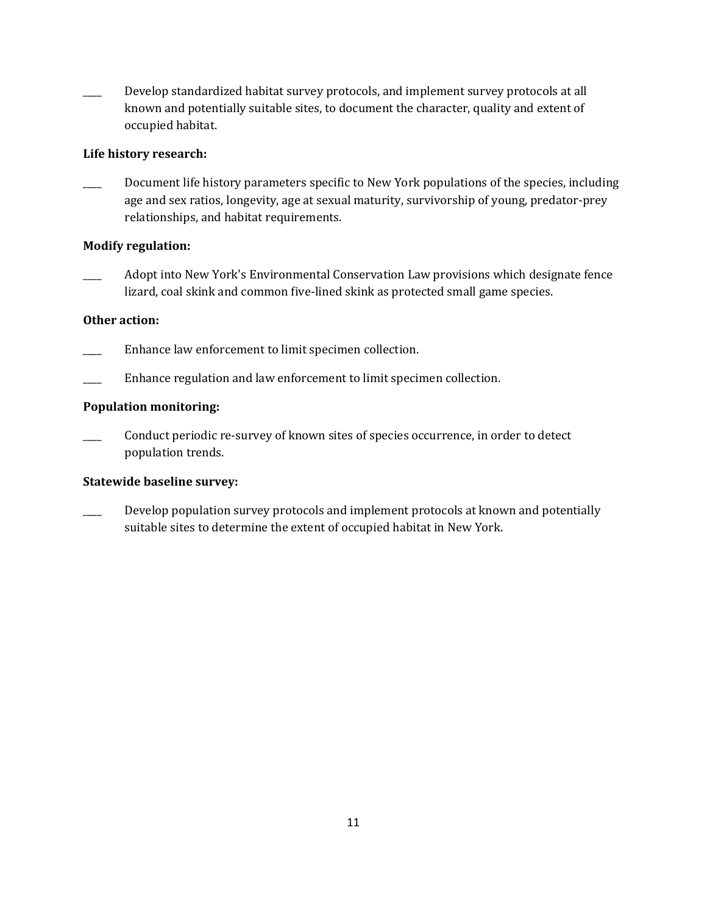Develop standardized habitat survey protocols, and implement survey protocols at all known and potentially suitable sites, to document the character, quality and extent of occupied habitat.

#### **Life history research:**

Document life history parameters specific to New York populations of the species, including age and sex ratios, longevity, age at sexual maturity, survivorship of young, predator-prey relationships, and habitat requirements.

### **Modify regulation:**

Adopt into New York's Environmental Conservation Law provisions which designate fence lizard, coal skink and common five-lined skink as protected small game species.

### **Other action:**

- Enhance law enforcement to limit specimen collection.
- Enhance regulation and law enforcement to limit specimen collection.

### **Population monitoring:**

\_\_\_\_ Conduct periodic re-survey of known sites of species occurrence, in order to detect population trends.

#### **Statewide baseline survey:**

Develop population survey protocols and implement protocols at known and potentially suitable sites to determine the extent of occupied habitat in New York.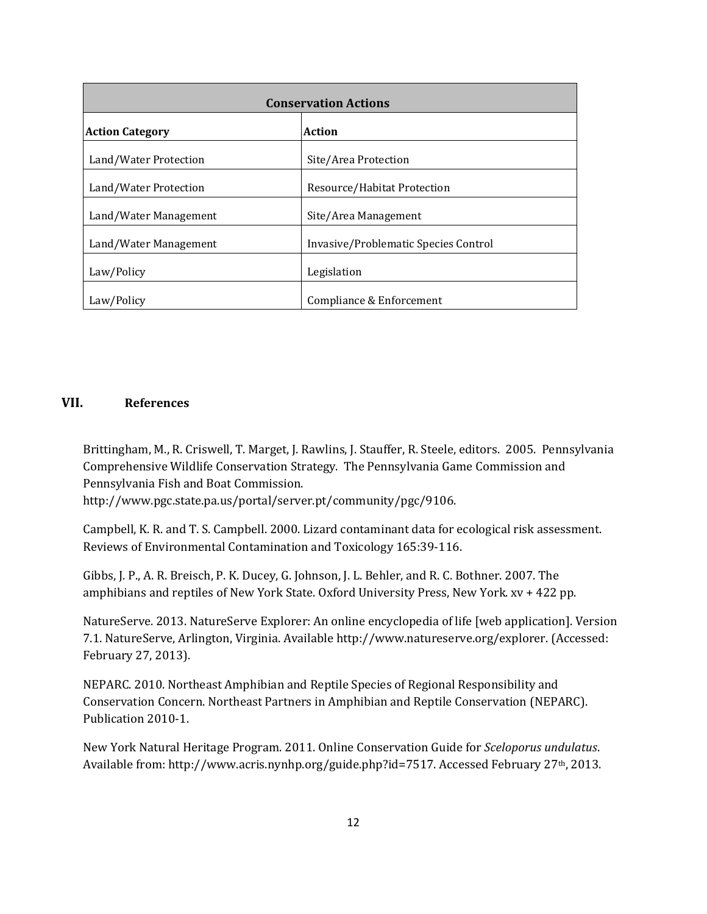| <b>Conservation Actions</b>      |                                      |  |  |
|----------------------------------|--------------------------------------|--|--|
| <b>Action Category</b><br>Action |                                      |  |  |
| Land/Water Protection            | Site/Area Protection                 |  |  |
| Land/Water Protection            | Resource/Habitat Protection          |  |  |
| Land/Water Management            | Site/Area Management                 |  |  |
| Land/Water Management            | Invasive/Problematic Species Control |  |  |
| Law/Policy                       | Legislation                          |  |  |
| Law/Policy                       | Compliance & Enforcement             |  |  |

### **VII. References**

Brittingham, M., R. Criswell, T. Marget, J. Rawlins, J. Stauffer, R. Steele, editors. 2005. Pennsylvania Comprehensive Wildlife Conservation Strategy. The Pennsylvania Game Commission and Pennsylvania Fish and Boat Commission.

http://www.pgc.state.pa.us/portal/server.pt/community/pgc/9106.

Campbell, K. R. and T. S. Campbell. 2000. Lizard contaminant data for ecological risk assessment. Reviews of Environmental Contamination and Toxicology 165:39-116.

Gibbs, J. P., A. R. Breisch, P. K. Ducey, G. Johnson, J. L. Behler, and R. C. Bothner. 2007. The amphibians and reptiles of New York State. Oxford University Press, New York. xv + 422 pp.

NatureServe. 2013. NatureServe Explorer: An online encyclopedia of life [web application]. Version 7.1. NatureServe, Arlington, Virginia. Available http://www.natureserve.org/explorer. (Accessed: February 27, 2013).

NEPARC. 2010. Northeast Amphibian and Reptile Species of Regional Responsibility and Conservation Concern. Northeast Partners in Amphibian and Reptile Conservation (NEPARC). Publication 2010-1.

New York Natural Heritage Program. 2011. Online Conservation Guide for *Sceloporus undulatus*. Available from: http://www.acris.nynhp.org/guide.php?id=7517. Accessed February 27th, 2013.